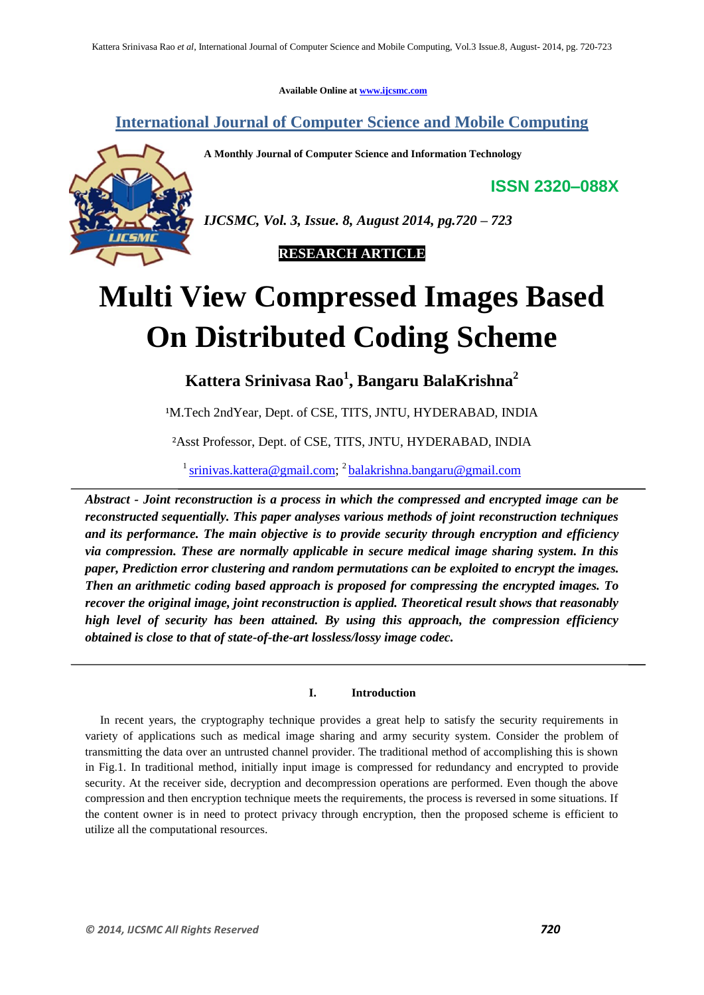**Available Online at www.ijcsmc.com**

# **International Journal of Computer Science and Mobile Computing**

**A Monthly Journal of Computer Science and Information Technology**

**ISSN 2320–088X**



*IJCSMC, Vol. 3, Issue. 8, August 2014, pg.720 – 723*

 **RESEARCH ARTICLE**

# **Multi View Compressed Images Based On Distributed Coding Scheme**

**Kattera Srinivasa Rao<sup>1</sup> , Bangaru BalaKrishna<sup>2</sup>**

<sup>1</sup>M.Tech 2ndYear, Dept. of CSE, TITS, JNTU, HYDERABAD, INDIA

²Asst Professor, Dept. of CSE, TITS, JNTU, HYDERABAD, INDIA

<sup>1</sup> srinivas.kattera@gmail.com; <sup>2</sup> balakrishna.bangaru@gmail.com

*Abstract - Joint reconstruction is a process in which the compressed and encrypted image can be reconstructed sequentially. This paper analyses various methods of joint reconstruction techniques and its performance. The main objective is to provide security through encryption and efficiency via compression. These are normally applicable in secure medical image sharing system. In this paper, Prediction error clustering and random permutations can be exploited to encrypt the images. Then an arithmetic coding based approach is proposed for compressing the encrypted images. To recover the original image, joint reconstruction is applied. Theoretical result shows that reasonably high level of security has been attained. By using this approach, the compression efficiency obtained is close to that of state-of-the-art lossless/lossy image codec.*

# **I. Introduction**

 In recent years, the cryptography technique provides a great help to satisfy the security requirements in variety of applications such as medical image sharing and army security system. Consider the problem of transmitting the data over an untrusted channel provider. The traditional method of accomplishing this is shown in Fig.1. In traditional method, initially input image is compressed for redundancy and encrypted to provide security. At the receiver side, decryption and decompression operations are performed. Even though the above compression and then encryption technique meets the requirements, the process is reversed in some situations. If the content owner is in need to protect privacy through encryption, then the proposed scheme is efficient to utilize all the computational resources.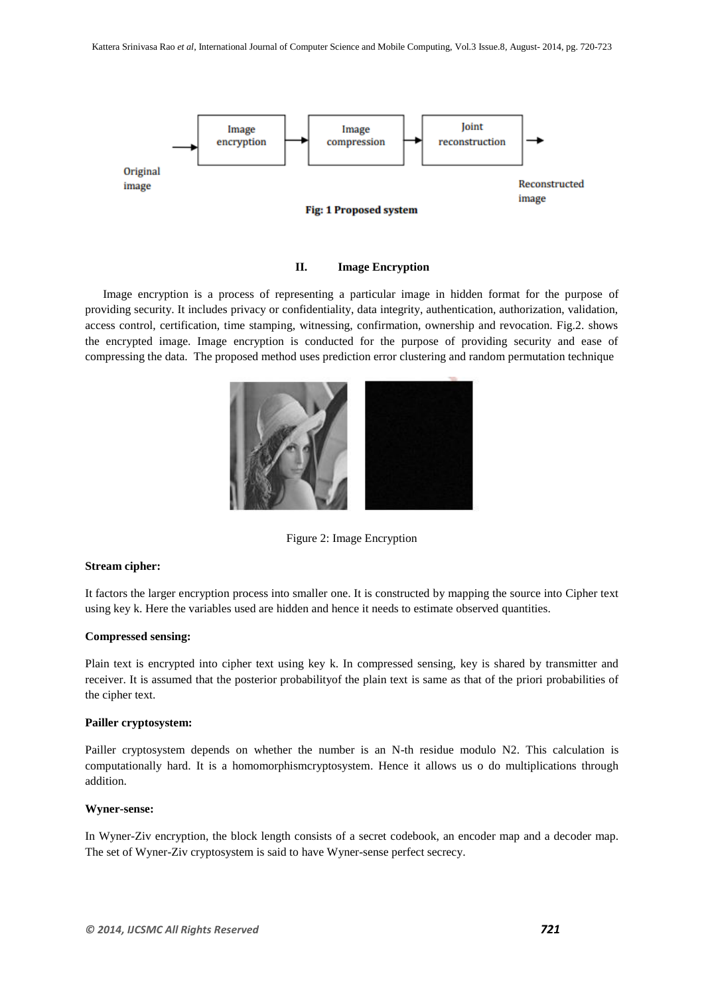

# **II. Image Encryption**

 Image encryption is a process of representing a particular image in hidden format for the purpose of providing security. It includes privacy or confidentiality, data integrity, authentication, authorization, validation, access control, certification, time stamping, witnessing, confirmation, ownership and revocation. Fig.2. shows the encrypted image. Image encryption is conducted for the purpose of providing security and ease of compressing the data. The proposed method uses prediction error clustering and random permutation technique



Figure 2: Image Encryption

#### **Stream cipher:**

It factors the larger encryption process into smaller one. It is constructed by mapping the source into Cipher text using key k. Here the variables used are hidden and hence it needs to estimate observed quantities.

#### **Compressed sensing:**

Plain text is encrypted into cipher text using key k. In compressed sensing, key is shared by transmitter and receiver. It is assumed that the posterior probabilityof the plain text is same as that of the priori probabilities of the cipher text.

#### **Pailler cryptosystem:**

Pailler cryptosystem depends on whether the number is an N-th residue modulo N2. This calculation is computationally hard. It is a homomorphismcryptosystem. Hence it allows us o do multiplications through addition.

## **Wyner-sense:**

In Wyner-Ziv encryption, the block length consists of a secret codebook, an encoder map and a decoder map. The set of Wyner-Ziv cryptosystem is said to have Wyner-sense perfect secrecy.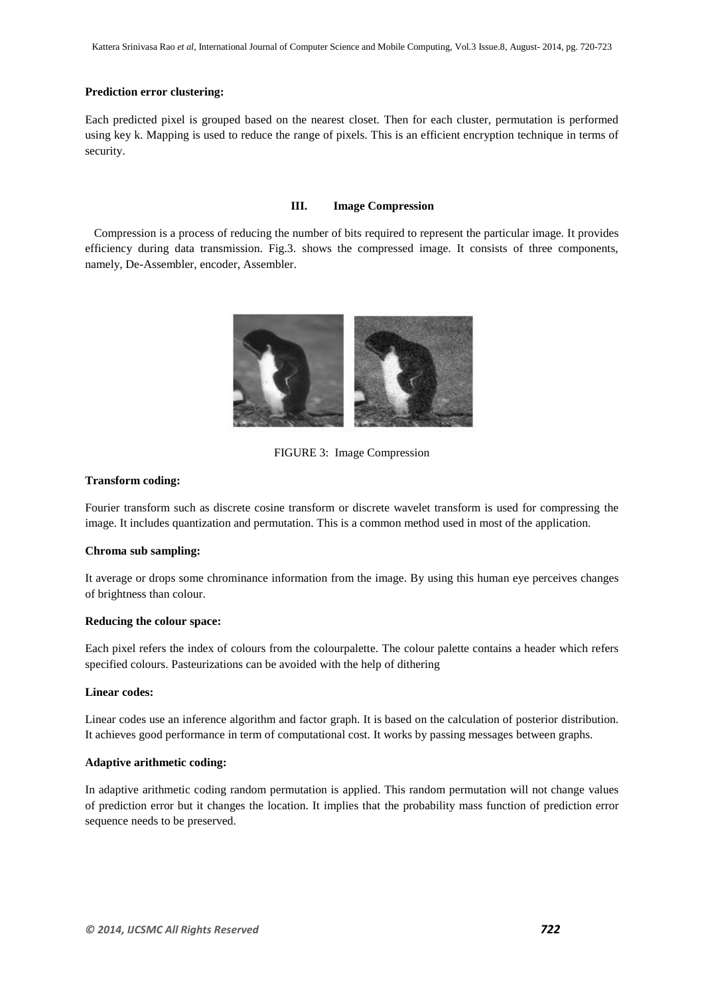#### **Prediction error clustering:**

Each predicted pixel is grouped based on the nearest closet. Then for each cluster, permutation is performed using key k. Mapping is used to reduce the range of pixels. This is an efficient encryption technique in terms of security.

#### **III. Image Compression**

 Compression is a process of reducing the number of bits required to represent the particular image. It provides efficiency during data transmission. Fig.3. shows the compressed image. It consists of three components, namely, De-Assembler, encoder, Assembler.



FIGURE 3: Image Compression

#### **Transform coding:**

Fourier transform such as discrete cosine transform or discrete wavelet transform is used for compressing the image. It includes quantization and permutation. This is a common method used in most of the application.

# **Chroma sub sampling:**

It average or drops some chrominance information from the image. By using this human eye perceives changes of brightness than colour.

#### **Reducing the colour space:**

Each pixel refers the index of colours from the colourpalette. The colour palette contains a header which refers specified colours. Pasteurizations can be avoided with the help of dithering

#### **Linear codes:**

Linear codes use an inference algorithm and factor graph. It is based on the calculation of posterior distribution. It achieves good performance in term of computational cost. It works by passing messages between graphs.

#### **Adaptive arithmetic coding:**

In adaptive arithmetic coding random permutation is applied. This random permutation will not change values of prediction error but it changes the location. It implies that the probability mass function of prediction error sequence needs to be preserved.